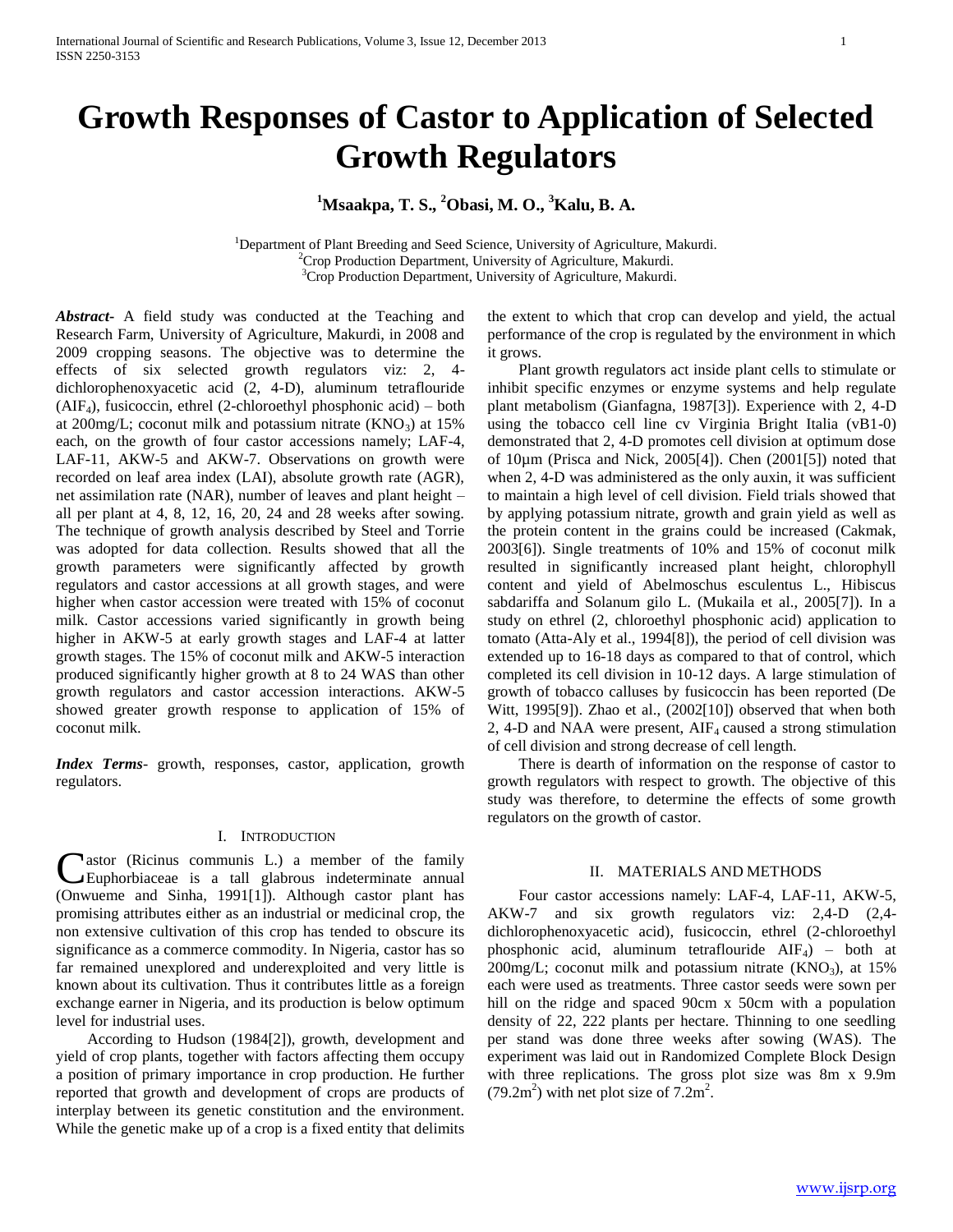# **Growth Responses of Castor to Application of Selected Growth Regulators**

**<sup>1</sup>Msaakpa, T. S., <sup>2</sup>Obasi, M. O., <sup>3</sup>Kalu, B. A.**

<sup>1</sup>Department of Plant Breeding and Seed Science, University of Agriculture, Makurdi. <sup>2</sup>Crop Production Department, University of Agriculture, Makurdi. <sup>3</sup>Crop Production Department, University of Agriculture, Makurdi.

*Abstract***-** A field study was conducted at the Teaching and Research Farm, University of Agriculture, Makurdi, in 2008 and 2009 cropping seasons. The objective was to determine the effects of six selected growth regulators viz: 2, 4 dichlorophenoxyacetic acid (2, 4-D), aluminum tetraflouride  $(AIF<sub>4</sub>)$ , fusicoccin, ethrel (2-chloroethyl phosphonic acid) – both at 200mg/L; coconut milk and potassium nitrate  $(KNO<sub>3</sub>)$  at 15% each, on the growth of four castor accessions namely; LAF-4, LAF-11, AKW-5 and AKW-7. Observations on growth were recorded on leaf area index (LAI), absolute growth rate (AGR), net assimilation rate (NAR), number of leaves and plant height – all per plant at 4, 8, 12, 16, 20, 24 and 28 weeks after sowing. The technique of growth analysis described by Steel and Torrie was adopted for data collection. Results showed that all the growth parameters were significantly affected by growth regulators and castor accessions at all growth stages, and were higher when castor accession were treated with 15% of coconut milk. Castor accessions varied significantly in growth being higher in AKW-5 at early growth stages and LAF-4 at latter growth stages. The 15% of coconut milk and AKW-5 interaction produced significantly higher growth at 8 to 24 WAS than other growth regulators and castor accession interactions. AKW-5 showed greater growth response to application of 15% of coconut milk.

*Index Terms*- growth, responses, castor, application, growth regulators.

#### I. INTRODUCTION

astor (Ricinus communis L.) a member of the family Euphorbiaceae is a tall glabrous indeterminate annual (Onwueme and Sinha, 1991[1]). Although castor plant has promising attributes either as an industrial or medicinal crop, the non extensive cultivation of this crop has tended to obscure its significance as a commerce commodity. In Nigeria, castor has so far remained unexplored and underexploited and very little is known about its cultivation. Thus it contributes little as a foreign exchange earner in Nigeria, and its production is below optimum level for industrial uses. C

 According to Hudson (1984[2]), growth, development and yield of crop plants, together with factors affecting them occupy a position of primary importance in crop production. He further reported that growth and development of crops are products of interplay between its genetic constitution and the environment. While the genetic make up of a crop is a fixed entity that delimits

the extent to which that crop can develop and yield, the actual performance of the crop is regulated by the environment in which it grows.

 Plant growth regulators act inside plant cells to stimulate or inhibit specific enzymes or enzyme systems and help regulate plant metabolism (Gianfagna, 1987[3]). Experience with 2, 4-D using the tobacco cell line cv Virginia Bright Italia (vB1-0) demonstrated that 2, 4-D promotes cell division at optimum dose of 10µm (Prisca and Nick, 2005[4]). Chen (2001[5]) noted that when 2, 4-D was administered as the only auxin, it was sufficient to maintain a high level of cell division. Field trials showed that by applying potassium nitrate, growth and grain yield as well as the protein content in the grains could be increased (Cakmak, 2003[6]). Single treatments of 10% and 15% of coconut milk resulted in significantly increased plant height, chlorophyll content and yield of Abelmoschus esculentus L., Hibiscus sabdariffa and Solanum gilo L. (Mukaila et al., 2005[7]). In a study on ethrel (2, chloroethyl phosphonic acid) application to tomato (Atta-Aly et al., 1994[8]), the period of cell division was extended up to 16-18 days as compared to that of control, which completed its cell division in 10-12 days. A large stimulation of growth of tobacco calluses by fusicoccin has been reported (De Witt, 1995[9]). Zhao et al., (2002[10]) observed that when both 2, 4-D and NAA were present,  $\text{AIF}_4$  caused a strong stimulation of cell division and strong decrease of cell length.

 There is dearth of information on the response of castor to growth regulators with respect to growth. The objective of this study was therefore, to determine the effects of some growth regulators on the growth of castor.

#### II. MATERIALS AND METHODS

 Four castor accessions namely: LAF-4, LAF-11, AKW-5, AKW-7 and six growth regulators viz: 2,4-D (2,4 dichlorophenoxyacetic acid), fusicoccin, ethrel (2-chloroethyl phosphonic acid, aluminum tetraflouride  $AIF<sub>4</sub>$ ) – both at  $200$ mg/L; coconut milk and potassium nitrate (KNO<sub>3</sub>), at  $15%$ each were used as treatments. Three castor seeds were sown per hill on the ridge and spaced 90cm x 50cm with a population density of 22, 222 plants per hectare. Thinning to one seedling per stand was done three weeks after sowing (WAS). The experiment was laid out in Randomized Complete Block Design with three replications. The gross plot size was 8m x 9.9m  $(79.2m<sup>2</sup>)$  with net plot size of  $7.2m<sup>2</sup>$ .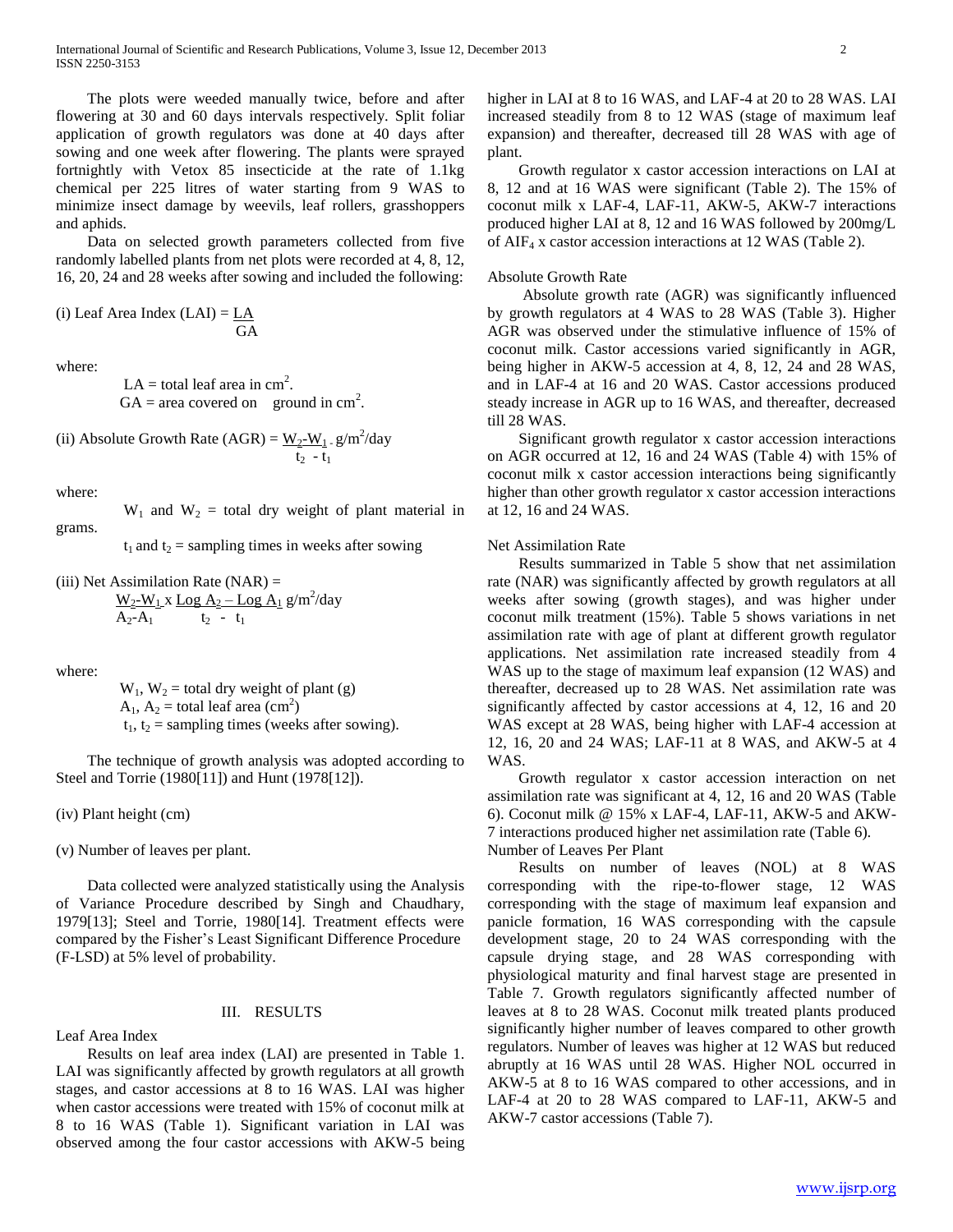The plots were weeded manually twice, before and after flowering at 30 and 60 days intervals respectively. Split foliar application of growth regulators was done at 40 days after sowing and one week after flowering. The plants were sprayed fortnightly with Vetox 85 insecticide at the rate of 1.1kg chemical per 225 litres of water starting from 9 WAS to minimize insect damage by weevils, leaf rollers, grasshoppers and aphids.

 Data on selected growth parameters collected from five randomly labelled plants from net plots were recorded at 4, 8, 12, 16, 20, 24 and 28 weeks after sowing and included the following:

(i) Leaf Area Index  $(LAI) = LAI$ **GA** 

where:

 $LA = total leaf area in cm<sup>2</sup>.$  $GA = \text{area covered on}$  ground in cm<sup>2</sup>.

(ii) Absolute Growth Rate (AGR) = 
$$
\frac{W_2-W_1}{t_2} \cdot g/m^2/day
$$

where:

 $W_1$  and  $W_2$  = total dry weight of plant material in grams.

 $t_1$  and  $t_2$  = sampling times in weeks after sowing

(iii) Net Assimilation Rate (NAR) =  
\n
$$
\frac{W_2-W_1 x \text{ Log } A_2 - \text{Log } A_1}{A_2-A_1} g/m^2/day
$$

where:

 $W_1$ ,  $W_2$  = total dry weight of plant (g)  $A_1$ ,  $A_2$  = total leaf area (cm<sup>2</sup>)  $t_1$ ,  $t_2$  = sampling times (weeks after sowing).

 The technique of growth analysis was adopted according to Steel and Torrie (1980[11]) and Hunt (1978[12]).

(iv) Plant height (cm)

(v) Number of leaves per plant.

 Data collected were analyzed statistically using the Analysis of Variance Procedure described by Singh and Chaudhary, 1979[13]; Steel and Torrie, 1980[14]. Treatment effects were compared by the Fisher's Least Significant Difference Procedure (F-LSD) at 5% level of probability.

#### III. RESULTS

Leaf Area Index

 Results on leaf area index (LAI) are presented in Table 1. LAI was significantly affected by growth regulators at all growth stages, and castor accessions at 8 to 16 WAS. LAI was higher when castor accessions were treated with 15% of coconut milk at 8 to 16 WAS (Table 1). Significant variation in LAI was observed among the four castor accessions with AKW-5 being

higher in LAI at 8 to 16 WAS, and LAF-4 at 20 to 28 WAS. LAI increased steadily from 8 to 12 WAS (stage of maximum leaf expansion) and thereafter, decreased till 28 WAS with age of plant.

 Growth regulator x castor accession interactions on LAI at 8, 12 and at 16 WAS were significant (Table 2). The 15% of coconut milk x LAF-4, LAF-11, AKW-5, AKW-7 interactions produced higher LAI at 8, 12 and 16 WAS followed by 200mg/L of AIF<sup>4</sup> x castor accession interactions at 12 WAS (Table 2).

#### Absolute Growth Rate

 Absolute growth rate (AGR) was significantly influenced by growth regulators at 4 WAS to 28 WAS (Table 3). Higher AGR was observed under the stimulative influence of 15% of coconut milk. Castor accessions varied significantly in AGR, being higher in AKW-5 accession at 4, 8, 12, 24 and 28 WAS, and in LAF-4 at 16 and 20 WAS. Castor accessions produced steady increase in AGR up to 16 WAS, and thereafter, decreased till 28 WAS.

 Significant growth regulator x castor accession interactions on AGR occurred at 12, 16 and 24 WAS (Table 4) with 15% of coconut milk x castor accession interactions being significantly higher than other growth regulator x castor accession interactions at 12, 16 and 24 WAS.

#### Net Assimilation Rate

 Results summarized in Table 5 show that net assimilation rate (NAR) was significantly affected by growth regulators at all weeks after sowing (growth stages), and was higher under coconut milk treatment (15%). Table 5 shows variations in net assimilation rate with age of plant at different growth regulator applications. Net assimilation rate increased steadily from 4 WAS up to the stage of maximum leaf expansion (12 WAS) and thereafter, decreased up to 28 WAS. Net assimilation rate was significantly affected by castor accessions at 4, 12, 16 and 20 WAS except at 28 WAS, being higher with LAF-4 accession at 12, 16, 20 and 24 WAS; LAF-11 at 8 WAS, and AKW-5 at 4 WAS.

 Growth regulator x castor accession interaction on net assimilation rate was significant at 4, 12, 16 and 20 WAS (Table 6). Coconut milk @ 15% x LAF-4, LAF-11, AKW-5 and AKW-7 interactions produced higher net assimilation rate (Table 6). Number of Leaves Per Plant

 Results on number of leaves (NOL) at 8 WAS corresponding with the ripe-to-flower stage, 12 WAS corresponding with the stage of maximum leaf expansion and panicle formation, 16 WAS corresponding with the capsule development stage, 20 to 24 WAS corresponding with the capsule drying stage, and 28 WAS corresponding with physiological maturity and final harvest stage are presented in Table 7. Growth regulators significantly affected number of leaves at 8 to 28 WAS. Coconut milk treated plants produced significantly higher number of leaves compared to other growth regulators. Number of leaves was higher at 12 WAS but reduced abruptly at 16 WAS until 28 WAS. Higher NOL occurred in AKW-5 at 8 to 16 WAS compared to other accessions, and in LAF-4 at 20 to 28 WAS compared to LAF-11, AKW-5 and AKW-7 castor accessions (Table 7).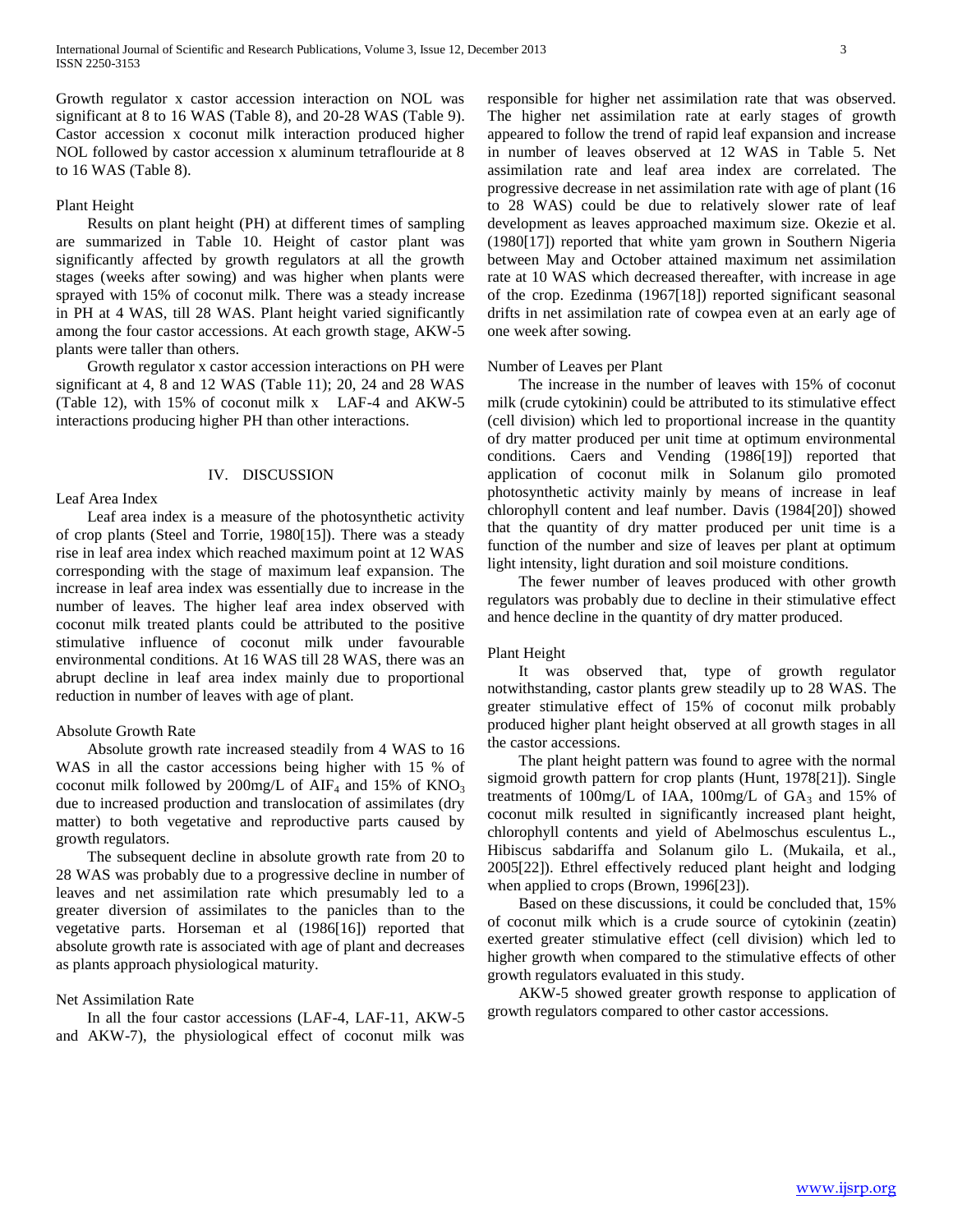Growth regulator x castor accession interaction on NOL was significant at 8 to 16 WAS (Table 8), and 20-28 WAS (Table 9). Castor accession x coconut milk interaction produced higher NOL followed by castor accession x aluminum tetraflouride at 8 to 16 WAS (Table 8).

#### Plant Height

 Results on plant height (PH) at different times of sampling are summarized in Table 10. Height of castor plant was significantly affected by growth regulators at all the growth stages (weeks after sowing) and was higher when plants were sprayed with 15% of coconut milk. There was a steady increase in PH at 4 WAS, till 28 WAS. Plant height varied significantly among the four castor accessions. At each growth stage, AKW-5 plants were taller than others.

 Growth regulator x castor accession interactions on PH were significant at 4, 8 and 12 WAS (Table 11); 20, 24 and 28 WAS (Table 12), with 15% of coconut milk x LAF-4 and AKW-5 interactions producing higher PH than other interactions.

#### IV. DISCUSSION

#### Leaf Area Index

 Leaf area index is a measure of the photosynthetic activity of crop plants (Steel and Torrie, 1980[15]). There was a steady rise in leaf area index which reached maximum point at 12 WAS corresponding with the stage of maximum leaf expansion. The increase in leaf area index was essentially due to increase in the number of leaves. The higher leaf area index observed with coconut milk treated plants could be attributed to the positive stimulative influence of coconut milk under favourable environmental conditions. At 16 WAS till 28 WAS, there was an abrupt decline in leaf area index mainly due to proportional reduction in number of leaves with age of plant.

#### Absolute Growth Rate

 Absolute growth rate increased steadily from 4 WAS to 16 WAS in all the castor accessions being higher with 15 % of coconut milk followed by 200mg/L of AIF<sub>4</sub> and 15% of  $KNO_3$ due to increased production and translocation of assimilates (dry matter) to both vegetative and reproductive parts caused by growth regulators.

 The subsequent decline in absolute growth rate from 20 to 28 WAS was probably due to a progressive decline in number of leaves and net assimilation rate which presumably led to a greater diversion of assimilates to the panicles than to the vegetative parts. Horseman et al (1986[16]) reported that absolute growth rate is associated with age of plant and decreases as plants approach physiological maturity.

#### Net Assimilation Rate

 In all the four castor accessions (LAF-4, LAF-11, AKW-5 and AKW-7), the physiological effect of coconut milk was responsible for higher net assimilation rate that was observed. The higher net assimilation rate at early stages of growth appeared to follow the trend of rapid leaf expansion and increase in number of leaves observed at 12 WAS in Table 5. Net assimilation rate and leaf area index are correlated. The progressive decrease in net assimilation rate with age of plant (16 to 28 WAS) could be due to relatively slower rate of leaf development as leaves approached maximum size. Okezie et al. (1980[17]) reported that white yam grown in Southern Nigeria between May and October attained maximum net assimilation rate at 10 WAS which decreased thereafter, with increase in age of the crop. Ezedinma (1967[18]) reported significant seasonal drifts in net assimilation rate of cowpea even at an early age of one week after sowing.

#### Number of Leaves per Plant

 The increase in the number of leaves with 15% of coconut milk (crude cytokinin) could be attributed to its stimulative effect (cell division) which led to proportional increase in the quantity of dry matter produced per unit time at optimum environmental conditions. Caers and Vending (1986[19]) reported that application of coconut milk in Solanum gilo promoted photosynthetic activity mainly by means of increase in leaf chlorophyll content and leaf number. Davis (1984[20]) showed that the quantity of dry matter produced per unit time is a function of the number and size of leaves per plant at optimum light intensity, light duration and soil moisture conditions.

 The fewer number of leaves produced with other growth regulators was probably due to decline in their stimulative effect and hence decline in the quantity of dry matter produced.

#### Plant Height

 It was observed that, type of growth regulator notwithstanding, castor plants grew steadily up to 28 WAS. The greater stimulative effect of 15% of coconut milk probably produced higher plant height observed at all growth stages in all the castor accessions.

 The plant height pattern was found to agree with the normal sigmoid growth pattern for crop plants (Hunt, 1978[21]). Single treatments of  $100$ mg/L of IAA,  $100$ mg/L of  $GA_3$  and  $15\%$  of coconut milk resulted in significantly increased plant height, chlorophyll contents and yield of Abelmoschus esculentus L., Hibiscus sabdariffa and Solanum gilo L. (Mukaila, et al., 2005[22]). Ethrel effectively reduced plant height and lodging when applied to crops (Brown, 1996[23]).

 Based on these discussions, it could be concluded that, 15% of coconut milk which is a crude source of cytokinin (zeatin) exerted greater stimulative effect (cell division) which led to higher growth when compared to the stimulative effects of other growth regulators evaluated in this study.

 AKW-5 showed greater growth response to application of growth regulators compared to other castor accessions.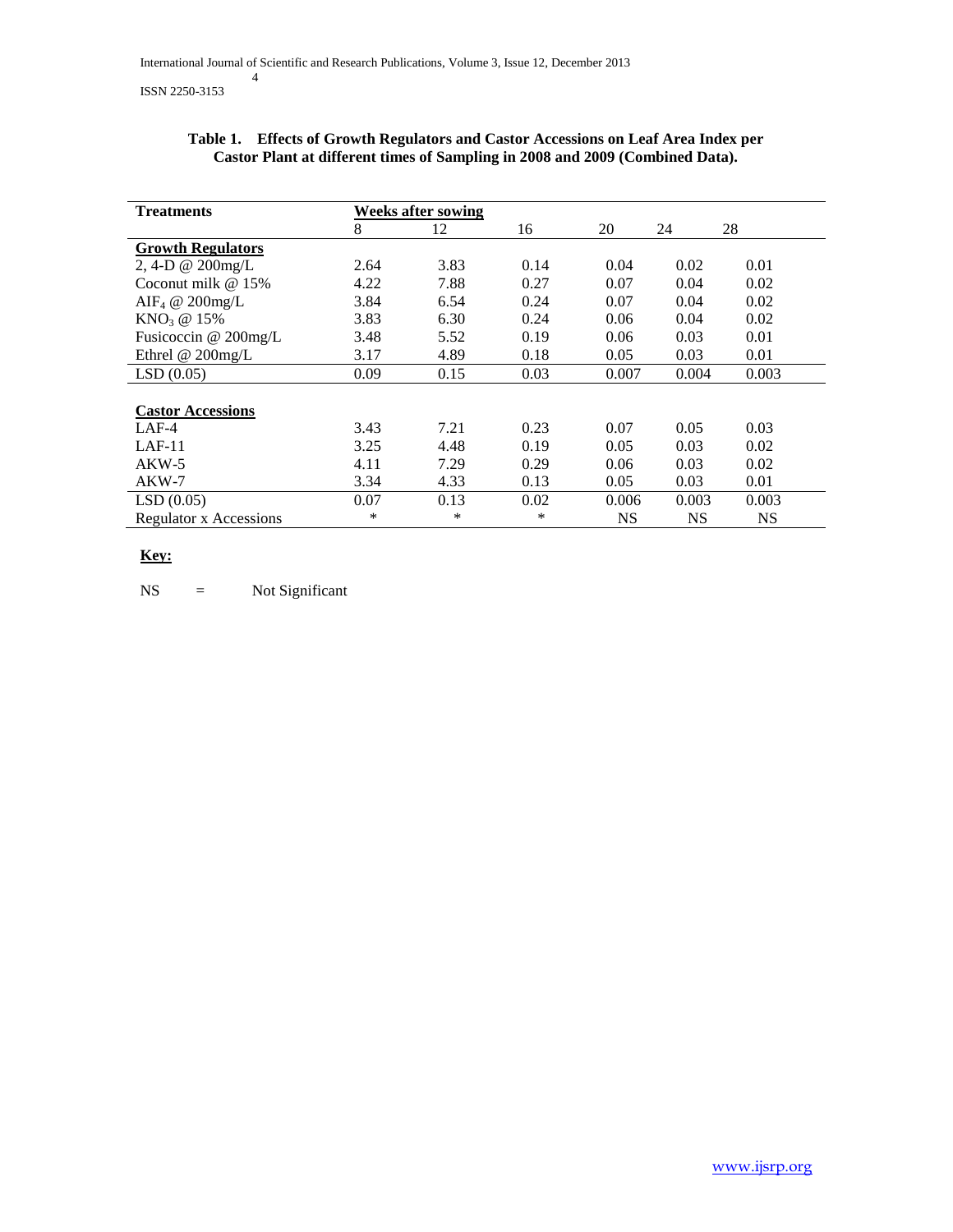| <b>Treatments</b>             | <b>Weeks after sowing</b> |      |      |           |           |           |
|-------------------------------|---------------------------|------|------|-----------|-----------|-----------|
|                               | 8                         | 12   | 16   | 20        | 24        | 28        |
| <b>Growth Regulators</b>      |                           |      |      |           |           |           |
| 2, 4-D @ 200mg/L              | 2.64                      | 3.83 | 0.14 | 0.04      | 0.02      | 0.01      |
| Coconut milk $@15\%$          | 4.22                      | 7.88 | 0.27 | 0.07      | 0.04      | 0.02      |
| AIF <sub>4</sub> @ 200mg/L    | 3.84                      | 6.54 | 0.24 | 0.07      | 0.04      | 0.02      |
| KNO <sub>3</sub> @ 15%        | 3.83                      | 6.30 | 0.24 | 0.06      | 0.04      | 0.02      |
| Fusicoccin @ 200mg/L          | 3.48                      | 5.52 | 0.19 | 0.06      | 0.03      | 0.01      |
| Ethrel $@$ 200mg/L            | 3.17                      | 4.89 | 0.18 | 0.05      | 0.03      | 0.01      |
| LSD(0.05)                     | 0.09                      | 0.15 | 0.03 | 0.007     | 0.004     | 0.003     |
|                               |                           |      |      |           |           |           |
| <b>Castor Accessions</b>      |                           |      |      |           |           |           |
| $LAF-4$                       | 3.43                      | 7.21 | 0.23 | 0.07      | 0.05      | 0.03      |
| $LAF-11$                      | 3.25                      | 4.48 | 0.19 | 0.05      | 0.03      | 0.02      |
| $AKW-5$                       | 4.11                      | 7.29 | 0.29 | 0.06      | 0.03      | 0.02      |
| $AKW-7$                       | 3.34                      | 4.33 | 0.13 | 0.05      | 0.03      | 0.01      |
| LSD(0.05)                     | 0.07                      | 0.13 | 0.02 | 0.006     | 0.003     | 0.003     |
| <b>Regulator x Accessions</b> | *                         | *    | *    | <b>NS</b> | <b>NS</b> | <b>NS</b> |

# **Table 1. Effects of Growth Regulators and Castor Accessions on Leaf Area Index per Castor Plant at different times of Sampling in 2008 and 2009 (Combined Data).**

# **Key:**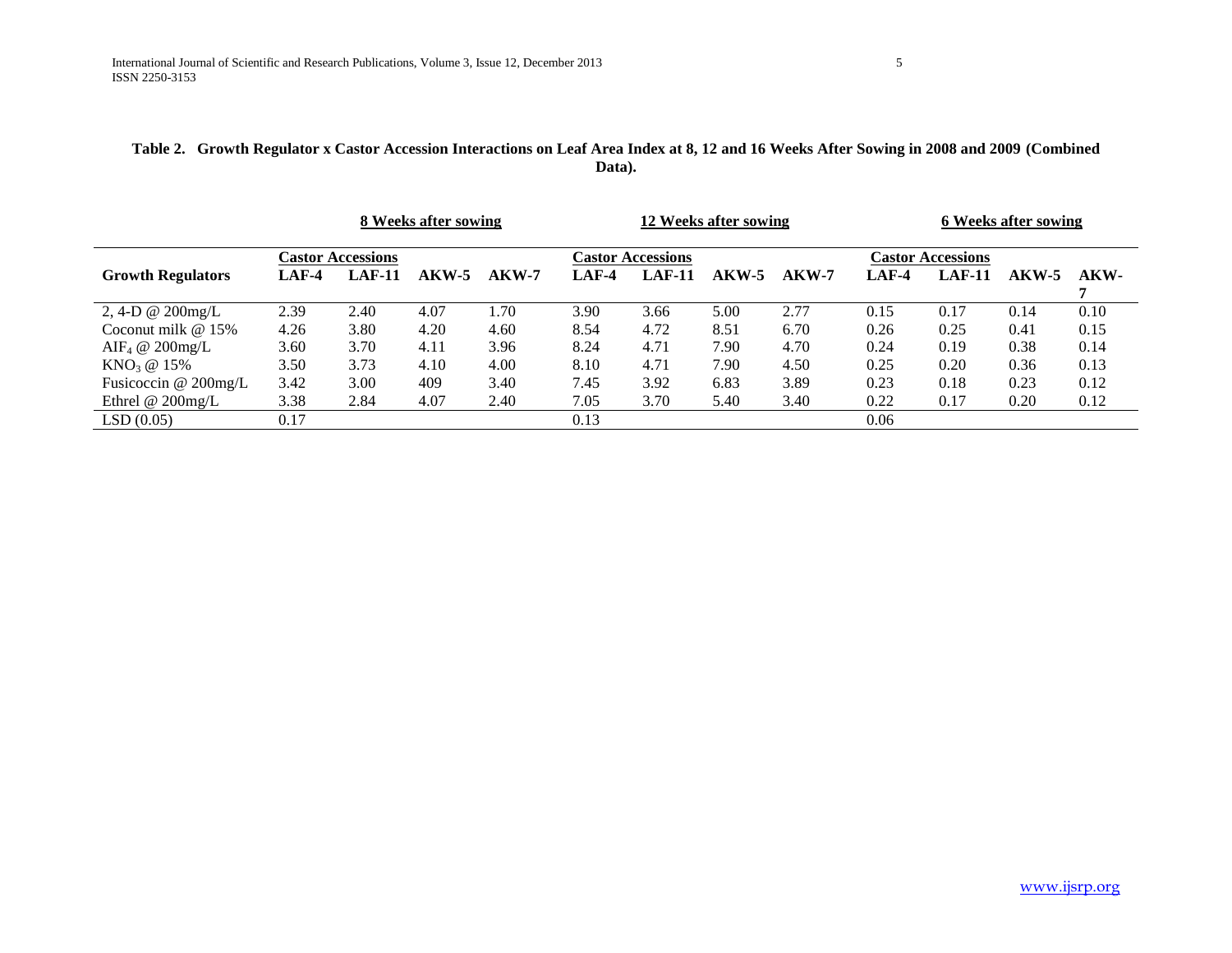# **Table 2. Growth Regulator x Castor Accession Interactions on Leaf Area Index at 8, 12 and 16 Weeks After Sowing in 2008 and 2009 (Combined Data).**

|                            |       |                          | 8 Weeks after sowing |         |         |                          | 12 Weeks after sowing |         |         |                          | 6 Weeks after sowing |      |
|----------------------------|-------|--------------------------|----------------------|---------|---------|--------------------------|-----------------------|---------|---------|--------------------------|----------------------|------|
|                            |       | <b>Castor Accessions</b> |                      |         |         | <b>Castor Accessions</b> |                       |         |         | <b>Castor Accessions</b> |                      |      |
| <b>Growth Regulators</b>   | LAF-4 | <b>LAF-11</b>            | $AKW-5$              | $AKW-7$ | $LAF-4$ | <b>LAF-11</b>            | AKW-5                 | $AKW-7$ | $LAF-4$ | $LAF-11$                 | AKW-5                | AKW- |
| 2, 4-D $\omega$ 200mg/L    | 2.39  | 2.40                     | 4.07                 | 1.70    | 3.90    | 3.66                     | 5.00                  | 2.77    | 0.15    | 0.17                     | 0.14                 | 0.10 |
| Coconut milk $@15\%$       | 4.26  | 3.80                     | 4.20                 | 4.60    | 8.54    | 4.72                     | 8.51                  | 6.70    | 0.26    | 0.25                     | 0.41                 | 0.15 |
| AIF <sub>4</sub> @ 200mg/L | 3.60  | 3.70                     | 4.11                 | 3.96    | 8.24    | 4.71                     | 7.90                  | 4.70    | 0.24    | 0.19                     | 0.38                 | 0.14 |
| $KNO_3 \ @ 15\%$           | 3.50  | 3.73                     | 4.10                 | 4.00    | 8.10    | 4.71                     | 7.90                  | 4.50    | 0.25    | 0.20                     | 0.36                 | 0.13 |
| Fusicoccin $@200mg/L$      | 3.42  | 3.00                     | 409                  | 3.40    | 7.45    | 3.92                     | 6.83                  | 3.89    | 0.23    | 0.18                     | 0.23                 | 0.12 |
| Ethrel @ $200$ mg/L        | 3.38  | 2.84                     | 4.07                 | 2.40    | 7.05    | 3.70                     | 5.40                  | 3.40    | 0.22    | 0.17                     | 0.20                 | 0.12 |
| LSD(0.05)                  | 0.17  |                          |                      |         | 0.13    |                          |                       |         | 0.06    |                          |                      |      |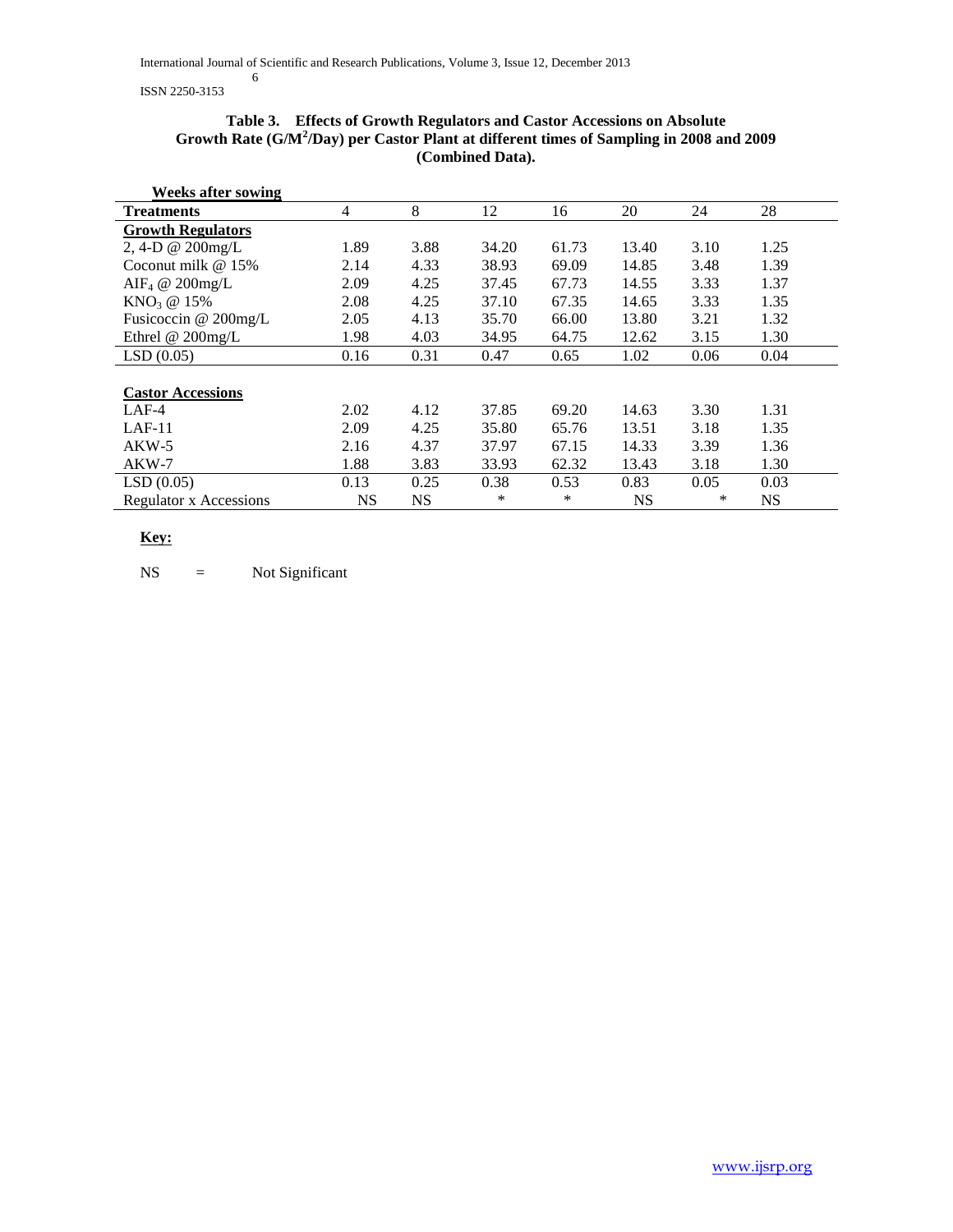ISSN 2250-3153

### **Table 3. Effects of Growth Regulators and Castor Accessions on Absolute Growth Rate (G/M<sup>2</sup> /Day) per Castor Plant at different times of Sampling in 2008 and 2009 (Combined Data).**

| <b>Weeks after sowing</b>  |      |           |       |       |           |      |           |
|----------------------------|------|-----------|-------|-------|-----------|------|-----------|
| <b>Treatments</b>          | 4    | 8         | 12    | 16    | 20        | 24   | 28        |
| <b>Growth Regulators</b>   |      |           |       |       |           |      |           |
| 2, 4-D @ 200mg/L           | 1.89 | 3.88      | 34.20 | 61.73 | 13.40     | 3.10 | 1.25      |
| Coconut milk $@15\%$       | 2.14 | 4.33      | 38.93 | 69.09 | 14.85     | 3.48 | 1.39      |
| AIF <sub>4</sub> @ 200mg/L | 2.09 | 4.25      | 37.45 | 67.73 | 14.55     | 3.33 | 1.37      |
| $KNO3$ @ 15%               | 2.08 | 4.25      | 37.10 | 67.35 | 14.65     | 3.33 | 1.35      |
| Fusicoccin @ 200mg/L       | 2.05 | 4.13      | 35.70 | 66.00 | 13.80     | 3.21 | 1.32      |
| Ethrel @ $200$ mg/L        | 1.98 | 4.03      | 34.95 | 64.75 | 12.62     | 3.15 | 1.30      |
| LSD(0.05)                  | 0.16 | 0.31      | 0.47  | 0.65  | 1.02      | 0.06 | 0.04      |
|                            |      |           |       |       |           |      |           |
| <b>Castor Accessions</b>   |      |           |       |       |           |      |           |
| $LAF-4$                    | 2.02 | 4.12      | 37.85 | 69.20 | 14.63     | 3.30 | 1.31      |
| $LAF-11$                   | 2.09 | 4.25      | 35.80 | 65.76 | 13.51     | 3.18 | 1.35      |
| $AKW-5$                    | 2.16 | 4.37      | 37.97 | 67.15 | 14.33     | 3.39 | 1.36      |
| $AKW-7$                    | 1.88 | 3.83      | 33.93 | 62.32 | 13.43     | 3.18 | 1.30      |
| LSD(0.05)                  | 0.13 | 0.25      | 0.38  | 0.53  | 0.83      | 0.05 | 0.03      |
| Regulator x Accessions     | NS   | <b>NS</b> | *     | *     | <b>NS</b> | ∗    | <b>NS</b> |

# **Key:**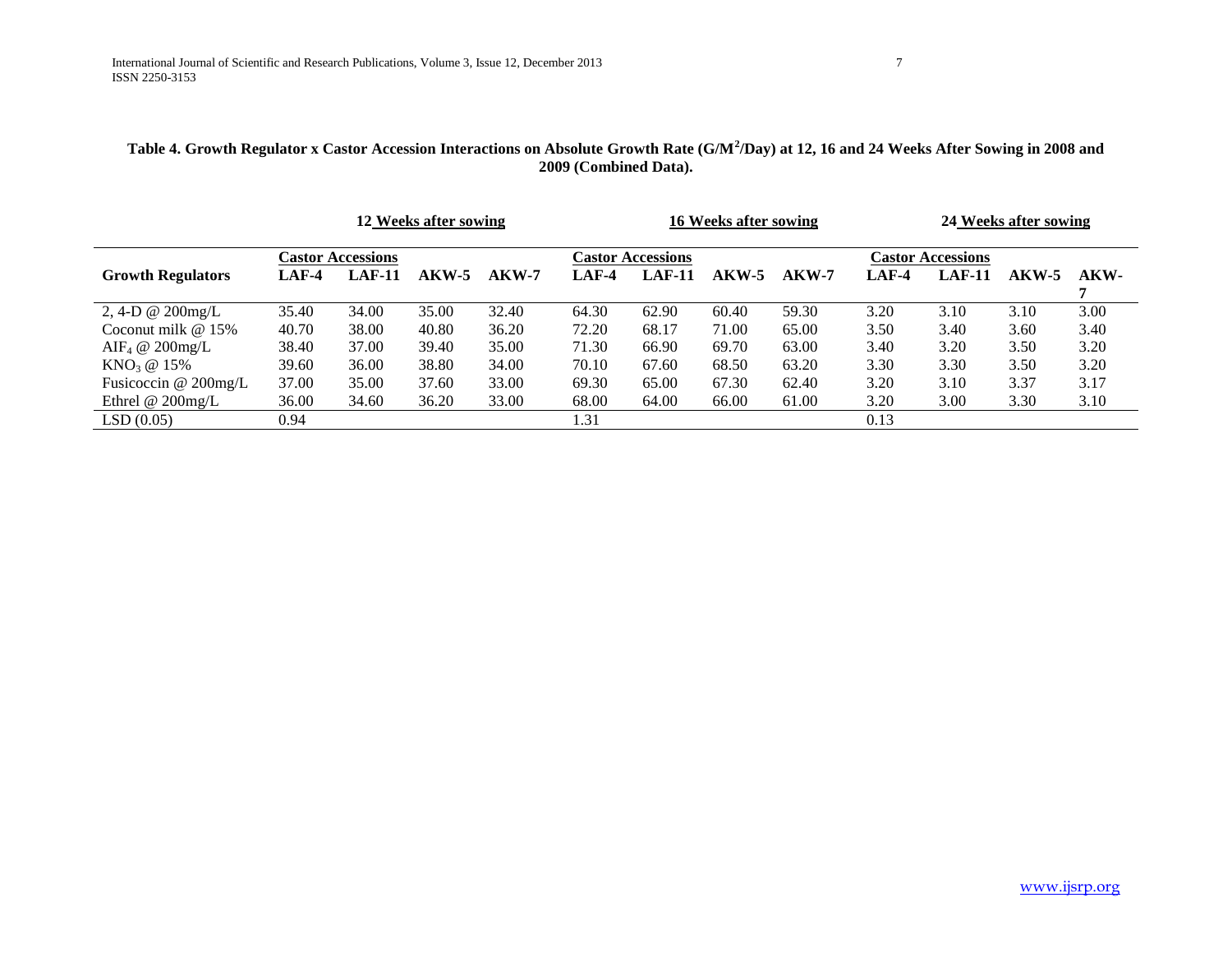# Table 4. Growth Regulator x Castor Accession Interactions on Absolute Growth Rate (G/M<sup>2</sup>/Day) at 12, 16 and 24 Weeks After Sowing in 2008 and **2009 (Combined Data).**

|                            |         |                          | 12 Weeks after sowing |         |         |                          | 16 Weeks after sowing |         |         |                          | 24 Weeks after sowing |      |
|----------------------------|---------|--------------------------|-----------------------|---------|---------|--------------------------|-----------------------|---------|---------|--------------------------|-----------------------|------|
|                            |         | <b>Castor Accessions</b> |                       |         |         | <b>Lastor Accessions</b> |                       |         |         | <b>Castor Accessions</b> |                       |      |
| <b>Growth Regulators</b>   | $LAF-4$ | $LAF-11$                 | $AKW-5$               | $AKW-7$ | $LAF-4$ | $LAF-11$                 | $AKW-5$               | $AKW-7$ | $LAF-4$ | $LAF-11$                 | $AKW-5$               | AKW- |
|                            |         |                          |                       |         |         |                          |                       |         |         |                          |                       |      |
| 2, 4-D @ $200$ mg/L        | 35.40   | 34.00                    | 35.00                 | 32.40   | 64.30   | 62.90                    | 60.40                 | 59.30   | 3.20    | 3.10                     | 3.10                  | 3.00 |
| Coconut milk $@15\%$       | 40.70   | 38.00                    | 40.80                 | 36.20   | 72.20   | 68.17                    | 71.00                 | 65.00   | 3.50    | 3.40                     | 3.60                  | 3.40 |
| $\text{AIF}_4 \ @$ 200mg/L | 38.40   | 37.00                    | 39.40                 | 35.00   | 71.30   | 66.90                    | 69.70                 | 63.00   | 3.40    | 3.20                     | 3.50                  | 3.20 |
| $KNO_3 \; @ \; 15\%$       | 39.60   | 36.00                    | 38.80                 | 34.00   | 70.10   | 67.60                    | 68.50                 | 63.20   | 3.30    | 3.30                     | 3.50                  | 3.20 |
| Fusicoccin $@$ 200mg/L     | 37.00   | 35.00                    | 37.60                 | 33.00   | 69.30   | 65.00                    | 67.30                 | 62.40   | 3.20    | 3.10                     | 3.37                  | 3.17 |
| Ethrel @ $200$ mg/L        | 36.00   | 34.60                    | 36.20                 | 33.00   | 68.00   | 64.00                    | 66.00                 | 61.00   | 3.20    | 3.00                     | 3.30                  | 3.10 |
| LSD(0.05)                  | 0.94    |                          |                       |         | 1.31    |                          |                       |         | 0.13    |                          |                       |      |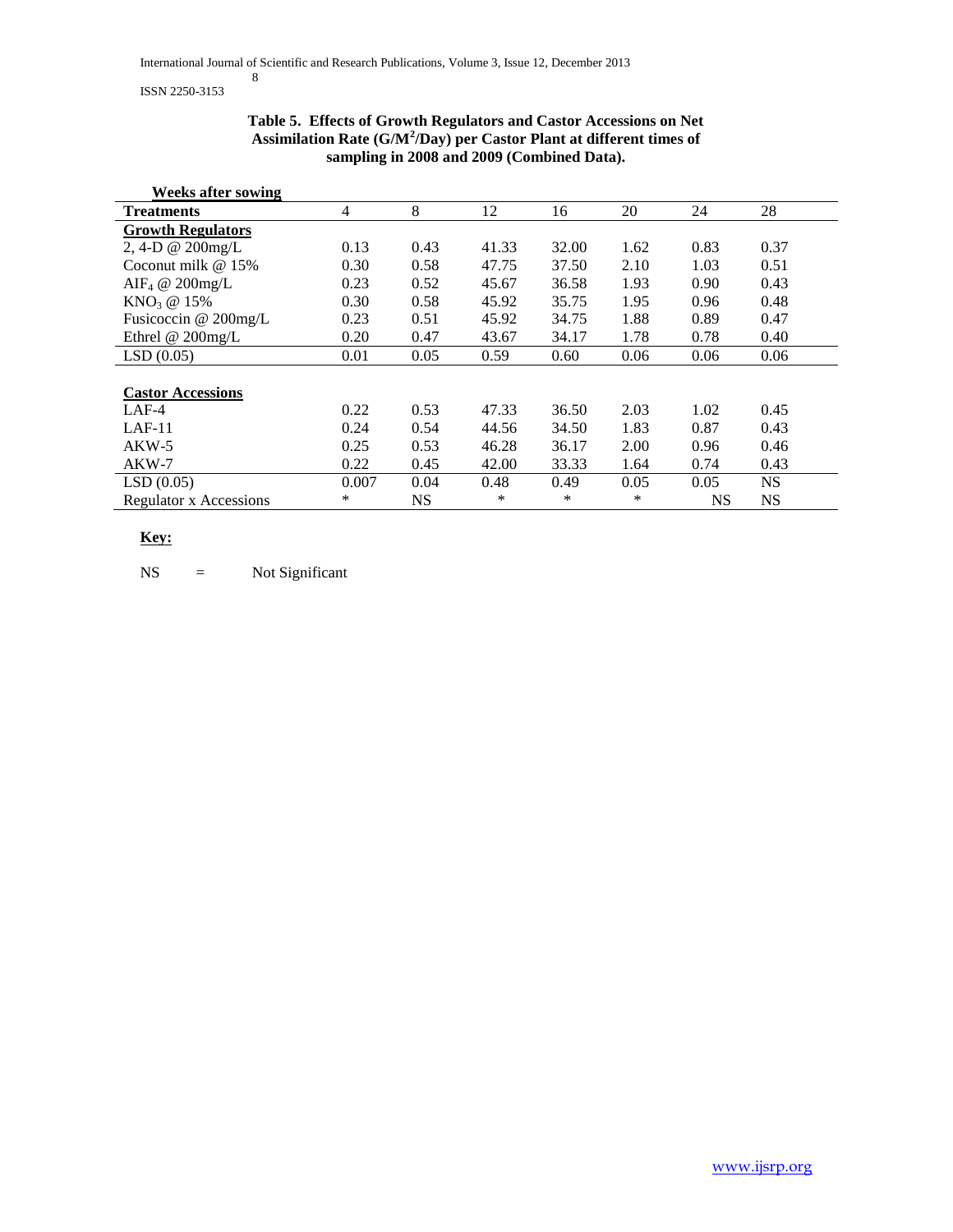#### ISSN 2250-3153

### **Table 5. Effects of Growth Regulators and Castor Accessions on Net Assimilation Rate (G/M<sup>2</sup> /Day) per Castor Plant at different times of sampling in 2008 and 2009 (Combined Data).**

| <b>Weeks after sowing</b>     |                |           |       |       |      |      |           |
|-------------------------------|----------------|-----------|-------|-------|------|------|-----------|
| <b>Treatments</b>             | $\overline{4}$ | 8         | 12    | 16    | 20   | 24   | 28        |
| <b>Growth Regulators</b>      |                |           |       |       |      |      |           |
| 2, 4-D @ 200mg/L              | 0.13           | 0.43      | 41.33 | 32.00 | 1.62 | 0.83 | 0.37      |
| Coconut milk $@15\%$          | 0.30           | 0.58      | 47.75 | 37.50 | 2.10 | 1.03 | 0.51      |
| AIF <sub>4</sub> @ 200mg/L    | 0.23           | 0.52      | 45.67 | 36.58 | 1.93 | 0.90 | 0.43      |
| $KNO3$ @ 15%                  | 0.30           | 0.58      | 45.92 | 35.75 | 1.95 | 0.96 | 0.48      |
| Fusicoccin @ 200mg/L          | 0.23           | 0.51      | 45.92 | 34.75 | 1.88 | 0.89 | 0.47      |
| Ethrel @ $200$ mg/L           | 0.20           | 0.47      | 43.67 | 34.17 | 1.78 | 0.78 | 0.40      |
| LSD(0.05)                     | 0.01           | 0.05      | 0.59  | 0.60  | 0.06 | 0.06 | 0.06      |
|                               |                |           |       |       |      |      |           |
| <b>Castor Accessions</b>      |                |           |       |       |      |      |           |
| $LAF-4$                       | 0.22           | 0.53      | 47.33 | 36.50 | 2.03 | 1.02 | 0.45      |
| $LAF-11$                      | 0.24           | 0.54      | 44.56 | 34.50 | 1.83 | 0.87 | 0.43      |
| $AKW-5$                       | 0.25           | 0.53      | 46.28 | 36.17 | 2.00 | 0.96 | 0.46      |
| AKW-7                         | 0.22           | 0.45      | 42.00 | 33.33 | 1.64 | 0.74 | 0.43      |
| LSD(0.05)                     | 0.007          | 0.04      | 0.48  | 0.49  | 0.05 | 0.05 | <b>NS</b> |
| <b>Regulator x Accessions</b> | $\ast$         | <b>NS</b> | *     | ∗     | *    | NS   | <b>NS</b> |

# **Key:**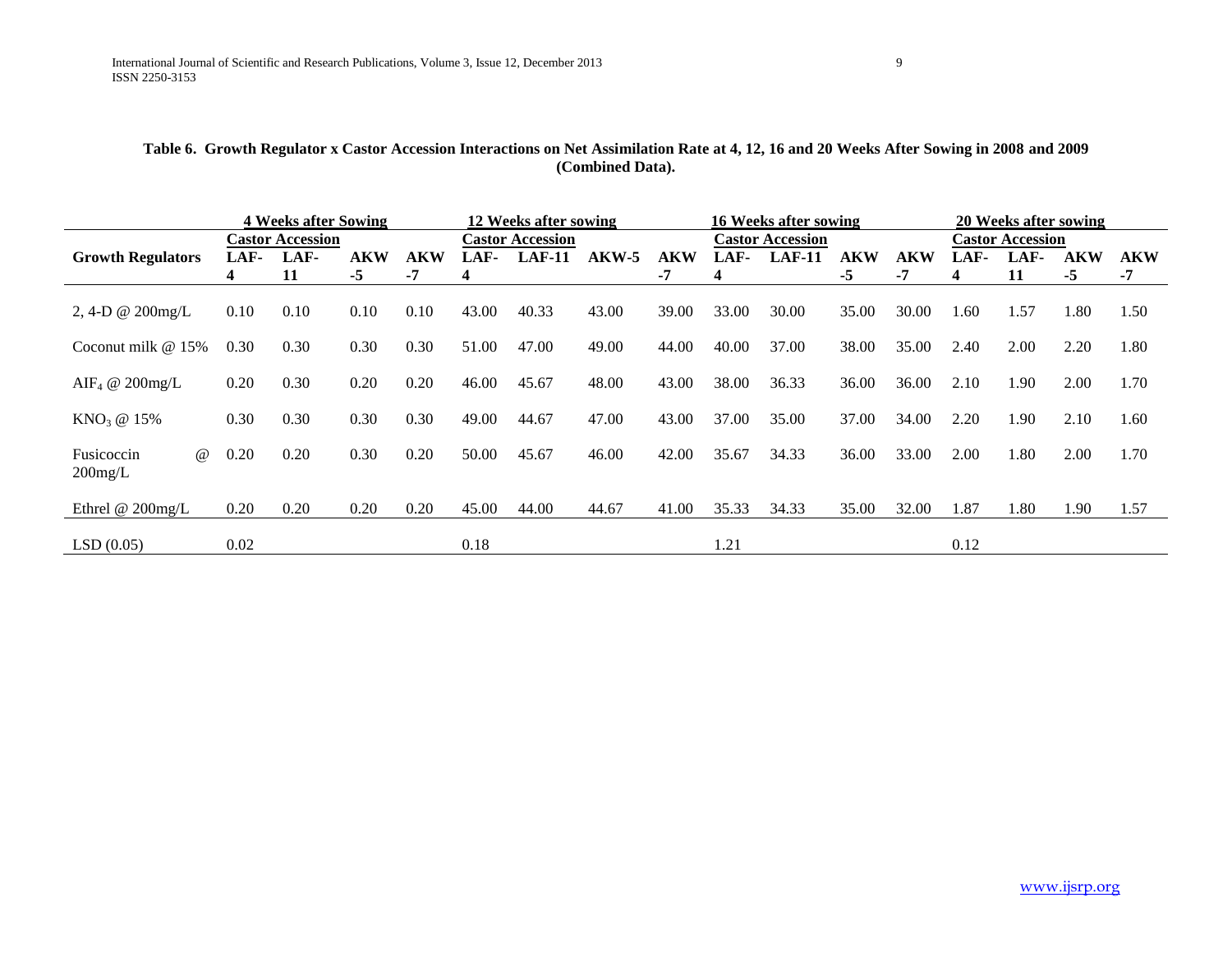# **Table 6. Growth Regulator x Castor Accession Interactions on Net Assimilation Rate at 4, 12, 16 and 20 Weeks After Sowing in 2008 and 2009 (Combined Data).**

|                            |      | <b>4 Weeks after Sowing</b> |            | 12 Weeks after sowing |       |                         |         |            | 16 Weeks after sowing |                         |            |       | 20 Weeks after sowing |                         |            |            |
|----------------------------|------|-----------------------------|------------|-----------------------|-------|-------------------------|---------|------------|-----------------------|-------------------------|------------|-------|-----------------------|-------------------------|------------|------------|
|                            |      | <b>Castor Accession</b>     |            |                       |       | <b>Castor Accession</b> |         |            |                       | <b>Castor Accession</b> |            |       |                       | <b>Castor Accession</b> |            |            |
| <b>Growth Regulators</b>   | LAF- | LAF-                        | <b>AKW</b> | <b>AKW</b>            | LAF-  | $LAF-11$                | $AKW-5$ | <b>AKW</b> | LAF-                  | $LAF-11$                | <b>AKW</b> | AKW   | LAF-                  | LAF-                    | <b>AKW</b> | <b>AKW</b> |
|                            |      | 11                          | $-5$       | -7                    | 4     |                         |         | -7         | 4                     |                         | $-5$       | -7    | 4                     | 11                      | $-5$       | $-7$       |
|                            |      |                             |            |                       |       |                         |         |            |                       |                         |            |       |                       |                         |            |            |
| 2, 4-D @ $200$ mg/L        | 0.10 | 0.10                        | 0.10       | 0.10                  | 43.00 | 40.33                   | 43.00   | 39.00      | 33.00                 | 30.00                   | 35.00      | 30.00 | 1.60                  | 1.57                    | 1.80       | 1.50       |
|                            |      |                             |            |                       |       |                         |         |            |                       |                         |            |       |                       |                         |            |            |
| Coconut milk $@15\%$       | 0.30 | 0.30                        | 0.30       | 0.30                  | 51.00 | 47.00                   | 49.00   | 44.00      | 40.00                 | 37.00                   | 38.00      | 35.00 | 2.40                  | 2.00                    | 2.20       | 1.80       |
|                            |      |                             |            |                       |       |                         |         |            |                       |                         |            |       |                       |                         |            |            |
| AIF <sub>4</sub> @ 200mg/L | 0.20 | 0.30                        | 0.20       | 0.20                  | 46.00 | 45.67                   | 48.00   | 43.00      | 38.00                 | 36.33                   | 36.00      | 36.00 | 2.10                  | 1.90                    | 2.00       | 1.70       |
|                            |      |                             |            |                       |       |                         |         |            |                       |                         |            |       |                       |                         |            |            |
| $KNO3$ @ 15%               | 0.30 | 0.30                        | 0.30       | 0.30                  | 49.00 | 44.67                   | 47.00   | 43.00      | 37.00                 | 35.00                   | 37.00      | 34.00 | 2.20                  | 1.90                    | 2.10       | 1.60       |
| $\omega$<br>Fusicoccin     | 0.20 | 0.20                        | 0.30       | 0.20                  | 50.00 | 45.67                   | 46.00   | 42.00      | 35.67                 | 34.33                   | 36.00      | 33.00 | 2.00                  | 1.80                    | 2.00       | 1.70       |
| $200$ mg/L                 |      |                             |            |                       |       |                         |         |            |                       |                         |            |       |                       |                         |            |            |
|                            |      |                             |            |                       |       |                         |         |            |                       |                         |            |       |                       |                         |            |            |
| Ethrel $@$ 200mg/L         | 0.20 | 0.20                        | 0.20       | 0.20                  | 45.00 | 44.00                   | 44.67   | 41.00      | 35.33                 | 34.33                   | 35.00      | 32.00 | 1.87                  | 1.80                    | 1.90       | 1.57       |
|                            |      |                             |            |                       |       |                         |         |            |                       |                         |            |       |                       |                         |            |            |
| LSD(0.05)                  | 0.02 |                             |            |                       | 0.18  |                         |         |            | 1.21                  |                         |            |       | 0.12                  |                         |            |            |
|                            |      |                             |            |                       |       |                         |         |            |                       |                         |            |       |                       |                         |            |            |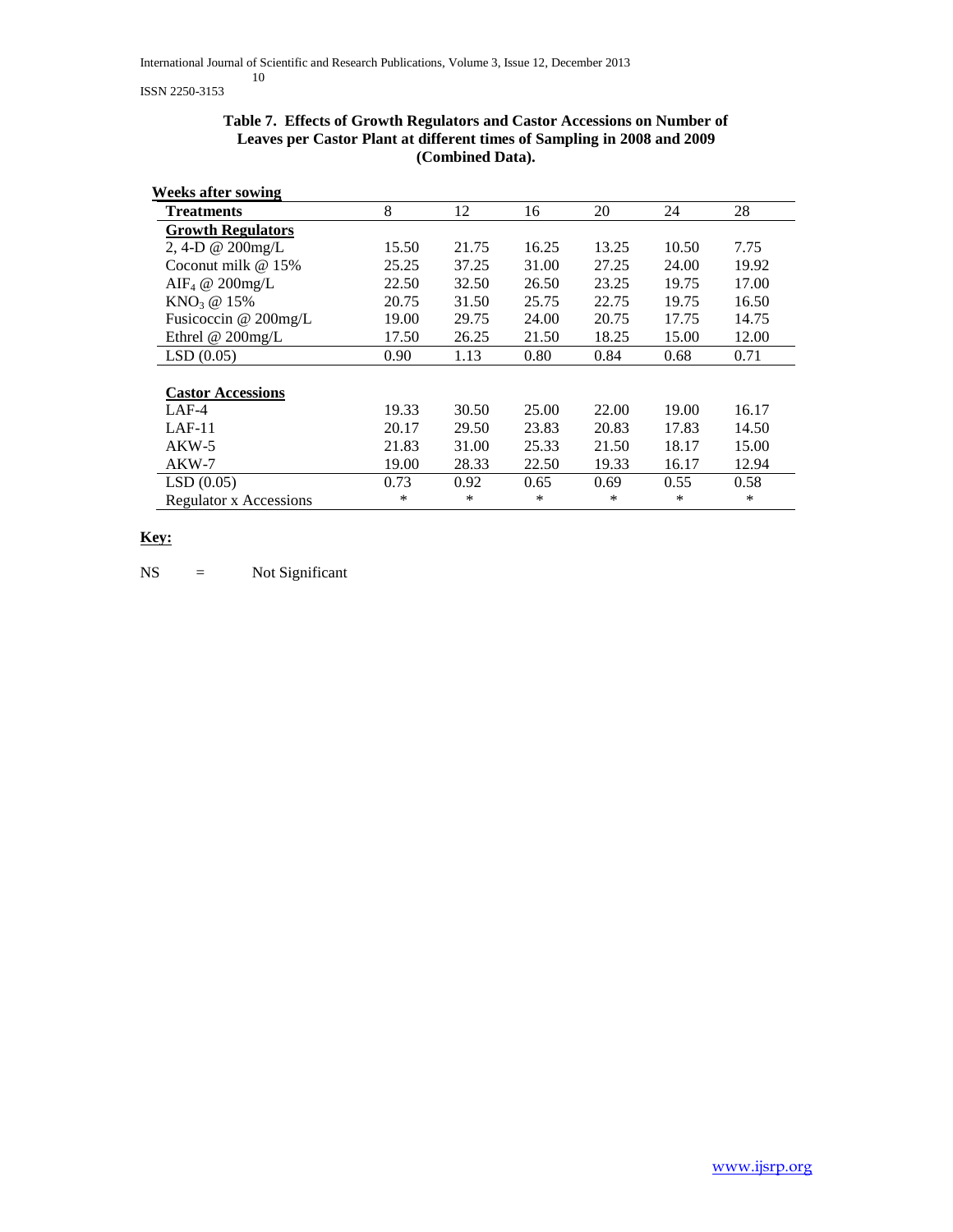| <b>Weeks after sowing</b>     |       |       |       |       |       |       |
|-------------------------------|-------|-------|-------|-------|-------|-------|
| <b>Treatments</b>             | 8     | 12    | 16    | 20    | 24    | 28    |
| <b>Growth Regulators</b>      |       |       |       |       |       |       |
| 2, 4-D @ 200mg/L              | 15.50 | 21.75 | 16.25 | 13.25 | 10.50 | 7.75  |
| Coconut milk $@15\%$          | 25.25 | 37.25 | 31.00 | 27.25 | 24.00 | 19.92 |
| AIF <sub>4</sub> @ 200mg/L    | 22.50 | 32.50 | 26.50 | 23.25 | 19.75 | 17.00 |
| $KNO3$ @ 15%                  | 20.75 | 31.50 | 25.75 | 22.75 | 19.75 | 16.50 |
| Fusicoccin @ 200mg/L          | 19.00 | 29.75 | 24.00 | 20.75 | 17.75 | 14.75 |
| Ethrel @ 200mg/L              | 17.50 | 26.25 | 21.50 | 18.25 | 15.00 | 12.00 |
| LSD(0.05)                     | 0.90  | 1.13  | 0.80  | 0.84  | 0.68  | 0.71  |
|                               |       |       |       |       |       |       |
| <b>Castor Accessions</b>      |       |       |       |       |       |       |
| $LAF-4$                       | 19.33 | 30.50 | 25.00 | 22.00 | 19.00 | 16.17 |
| $LAF-11$                      | 20.17 | 29.50 | 23.83 | 20.83 | 17.83 | 14.50 |
| $AKW-5$                       | 21.83 | 31.00 | 25.33 | 21.50 | 18.17 | 15.00 |
| $AKW-7$                       | 19.00 | 28.33 | 22.50 | 19.33 | 16.17 | 12.94 |
| LSD(0.05)                     | 0.73  | 0.92  | 0.65  | 0.69  | 0.55  | 0.58  |
| <b>Regulator x Accessions</b> | *     | *     | *     | ∗     | *     | ∗     |

### **Table 7. Effects of Growth Regulators and Castor Accessions on Number of Leaves per Castor Plant at different times of Sampling in 2008 and 2009 (Combined Data).**

# **Key:**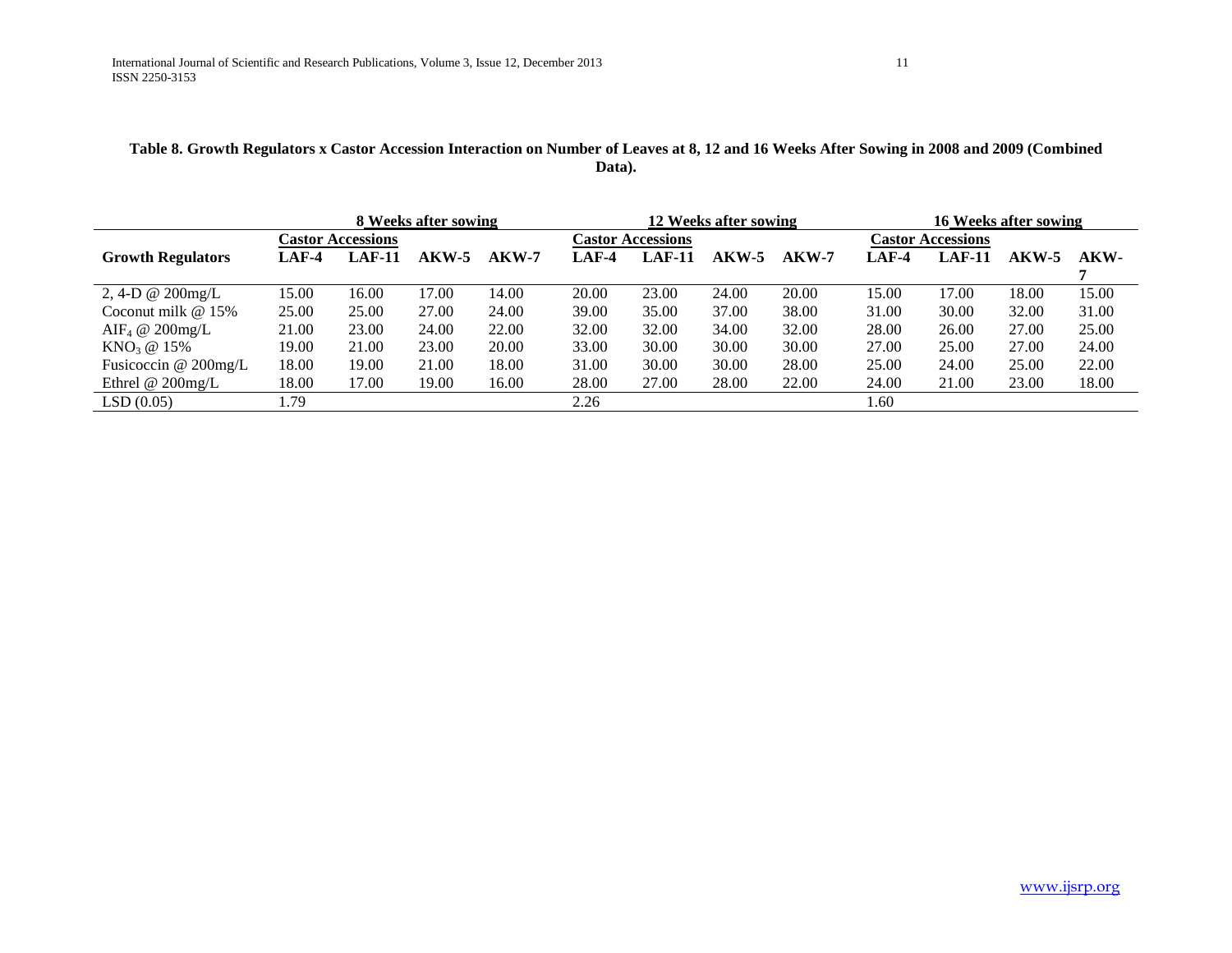# **Table 8. Growth Regulators x Castor Accession Interaction on Number of Leaves at 8, 12 and 16 Weeks After Sowing in 2008 and 2009 (Combined Data).**

|                            |       |                          | 8 Weeks after sowing |         |         |                          | 12 Weeks after sowing |         |         |                          | 16 Weeks after sowing |       |
|----------------------------|-------|--------------------------|----------------------|---------|---------|--------------------------|-----------------------|---------|---------|--------------------------|-----------------------|-------|
|                            |       | <b>Castor Accessions</b> |                      |         |         | <b>Castor Accessions</b> |                       |         |         | <b>Castor Accessions</b> |                       |       |
| <b>Growth Regulators</b>   | LAF-4 | <b>LAF-11</b>            | $AKW-5$              | $AKW-7$ | $LAF-4$ | <b>LAF-11</b>            | AKW-5                 | $AKW-7$ | $LAF-4$ | $LAF-11$                 | AKW-5                 | AKW-  |
|                            |       |                          |                      |         |         |                          |                       |         |         |                          |                       |       |
| 2, 4-D @ $200$ mg/L        | 15.00 | 16.00                    | 17.00                | 14.00   | 20.00   | 23.00                    | 24.00                 | 20.00   | 15.00   | 17.00                    | 18.00                 | 15.00 |
| Coconut milk $@15\%$       | 25.00 | 25.00                    | 27.00                | 24.00   | 39.00   | 35.00                    | 37.00                 | 38.00   | 31.00   | 30.00                    | 32.00                 | 31.00 |
| AIF <sub>4</sub> @ 200mg/L | 21.00 | 23.00                    | 24.00                | 22.00   | 32.00   | 32.00                    | 34.00                 | 32.00   | 28.00   | 26.00                    | 27.00                 | 25.00 |
| $KNO3$ @ 15%               | 19.00 | 21.00                    | 23.00                | 20.00   | 33.00   | 30.00                    | 30.00                 | 30.00   | 27.00   | 25.00                    | 27.00                 | 24.00 |
| Fusicoccin @ 200mg/L       | 18.00 | 19.00                    | 21.00                | 18.00   | 31.00   | 30.00                    | 30.00                 | 28.00   | 25.00   | 24.00                    | 25.00                 | 22.00 |
| Ethrel $@$ 200mg/L         | 18.00 | 17.00                    | 19.00                | 16.00   | 28.00   | 27.00                    | 28.00                 | 22.00   | 24.00   | 21.00                    | 23.00                 | 18.00 |
| LSD(0.05)                  | 1.79  |                          |                      |         | 2.26    |                          |                       |         | 1.60    |                          |                       |       |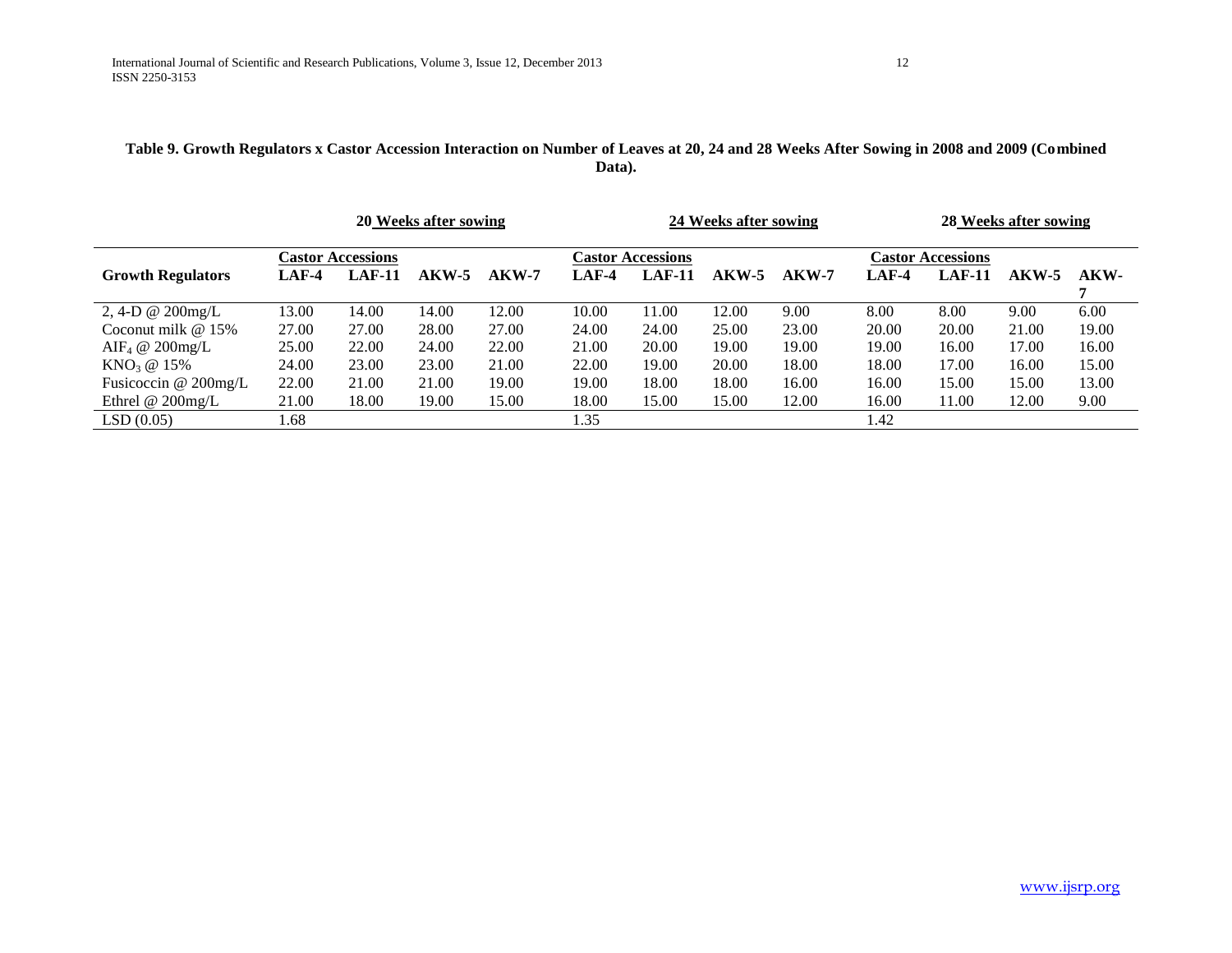# **Table 9. Growth Regulators x Castor Accession Interaction on Number of Leaves at 20, 24 and 28 Weeks After Sowing in 2008 and 2009 (Combined Data).**

|                            |       |                          | 20 Weeks after sowing |         |         |                          | 24 Weeks after sowing |         |         |                          | 28 Weeks after sowing |       |
|----------------------------|-------|--------------------------|-----------------------|---------|---------|--------------------------|-----------------------|---------|---------|--------------------------|-----------------------|-------|
|                            |       | <b>Castor Accessions</b> |                       |         |         | <b>Castor Accessions</b> |                       |         |         | <b>Castor Accessions</b> |                       |       |
| <b>Growth Regulators</b>   | LAF-4 | <b>LAF-11</b>            | $AKW-5$               | $AKW-7$ | $LAF-4$ | $LAF-11$                 | $AKW-5$               | $AKW-7$ | $LAF-4$ | $LAF-11$                 | $AKW-5$               | AKW-  |
|                            |       |                          |                       |         |         |                          |                       |         |         |                          |                       |       |
| 2, 4-D $\omega$ 200mg/L    | 13.00 | 14.00                    | 14.00                 | 12.00   | 10.00   | 11.00                    | 12.00                 | 9.00    | 8.00    | 8.00                     | 9.00                  | 6.00  |
| Coconut milk $@15\%$       | 27.00 | 27.00                    | 28.00                 | 27.00   | 24.00   | 24.00                    | 25.00                 | 23.00   | 20.00   | 20.00                    | 21.00                 | 19.00 |
| $\text{AIF}_4 \ @$ 200mg/L | 25.00 | 22.00                    | 24.00                 | 22.00   | 21.00   | 20.00                    | 19.00                 | 19.00   | 19.00   | 16.00                    | 17.00                 | 16.00 |
| $KNO_3 \; @ \; 15\%$       | 24.00 | 23.00                    | 23.00                 | 21.00   | 22.00   | 19.00                    | 20.00                 | 18.00   | 18.00   | 17.00                    | 16.00                 | 15.00 |
| Fusicoccin $@$ 200mg/L     | 22.00 | 21.00                    | 21.00                 | 19.00   | 19.00   | 18.00                    | 18.00                 | 16.00   | 16.00   | 15.00                    | 15.00                 | 13.00 |
| Ethrel $@$ 200mg/L         | 21.00 | 18.00                    | 19.00                 | 15.00   | 18.00   | 15.00                    | 15.00                 | 12.00   | 16.00   | 11.00                    | 12.00                 | 9.00  |
| LSD(0.05)                  | l.68  |                          |                       |         | 1.35    |                          |                       |         | 1.42    |                          |                       |       |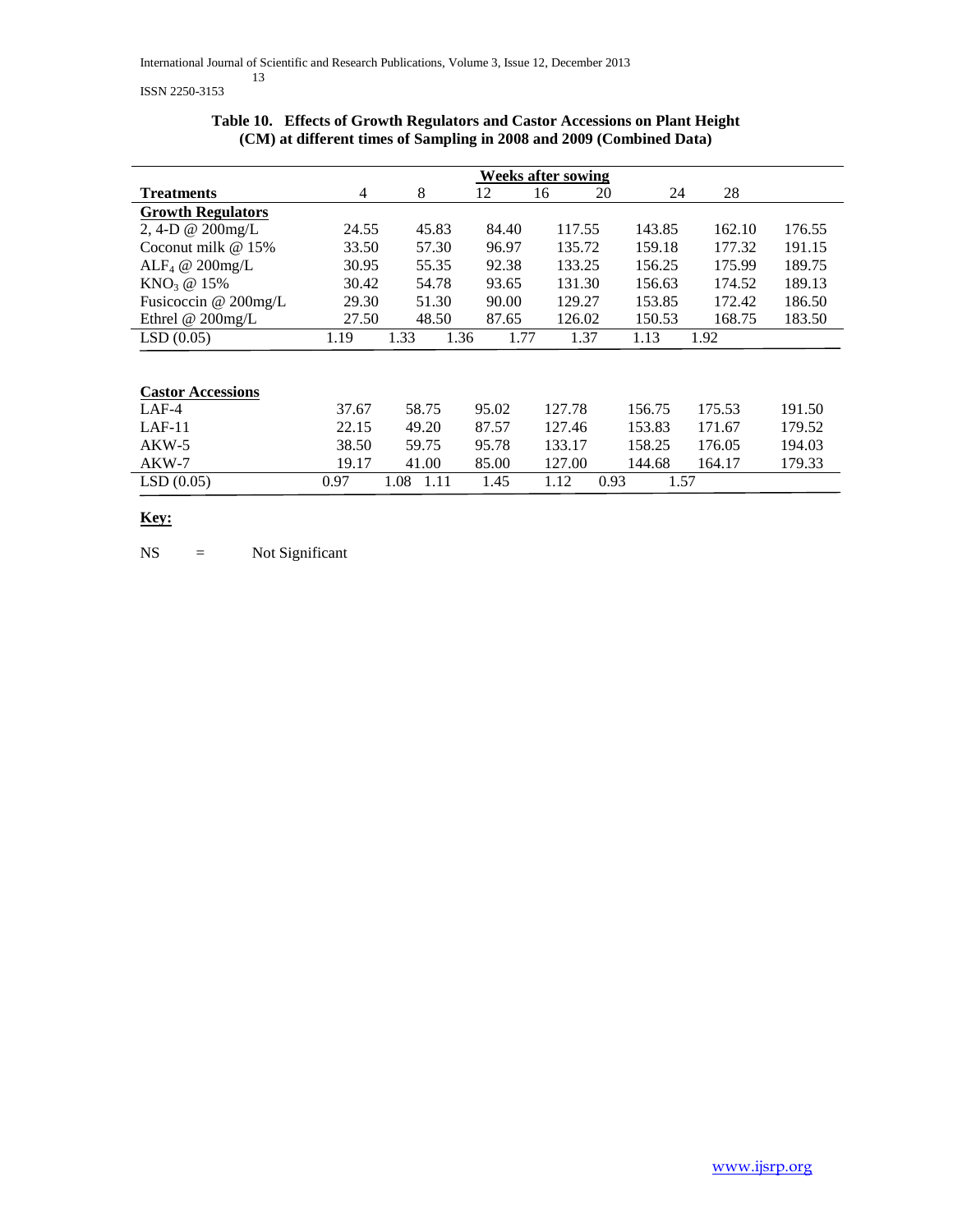|                               |       |              |              | <b>Weeks after sowing</b> |        |        |        |
|-------------------------------|-------|--------------|--------------|---------------------------|--------|--------|--------|
| <b>Treatments</b>             | 4     | 8            | 12           | 20<br>16                  | 24     | 28     |        |
| <b>Growth Regulators</b>      |       |              |              |                           |        |        |        |
| 2, 4-D @ 200mg/L              | 24.55 | 45.83        | 84.40        | 117.55                    | 143.85 | 162.10 | 176.55 |
| Coconut milk $@15\%$          | 33.50 | 57.30        | 96.97        | 135.72                    | 159.18 | 177.32 | 191.15 |
| ALF <sub>4</sub> @ $200$ mg/L | 30.95 | 55.35        | 92.38        | 133.25                    | 156.25 | 175.99 | 189.75 |
| $KNO_3 @ 15\%$                | 30.42 | 54.78        | 93.65        | 131.30                    | 156.63 | 174.52 | 189.13 |
| Fusicoccin @ 200mg/L          | 29.30 | 51.30        | 90.00        | 129.27                    | 153.85 | 172.42 | 186.50 |
| Ethrel @ 200mg/L              | 27.50 | 48.50        | 87.65        | 126.02                    | 150.53 | 168.75 | 183.50 |
| LSD(0.05)                     | 1.19  | 1.33         | 1.36<br>1.77 | 1.37                      | 1.13   | 1.92   |        |
|                               |       |              |              |                           |        |        |        |
|                               |       |              |              |                           |        |        |        |
| <b>Castor Accessions</b>      |       |              |              |                           |        |        |        |
| $LAF-4$                       | 37.67 | 58.75        | 95.02        | 127.78                    | 156.75 | 175.53 | 191.50 |
| $LAF-11$                      | 22.15 | 49.20        | 87.57        | 127.46                    | 153.83 | 171.67 | 179.52 |
| $AKW-5$                       | 38.50 | 59.75        | 95.78        | 133.17                    | 158.25 | 176.05 | 194.03 |
| $AKW-7$                       | 19.17 | 41.00        | 85.00        | 127.00                    | 144.68 | 164.17 | 179.33 |
| LSD(0.05)                     | 0.97  | 1.08<br>1.11 | 1.45         | 1.12<br>0.93              | 1.57   |        |        |
|                               |       |              |              |                           |        |        |        |

# **Table 10. Effects of Growth Regulators and Castor Accessions on Plant Height (CM) at different times of Sampling in 2008 and 2009 (Combined Data)**

# **Key:**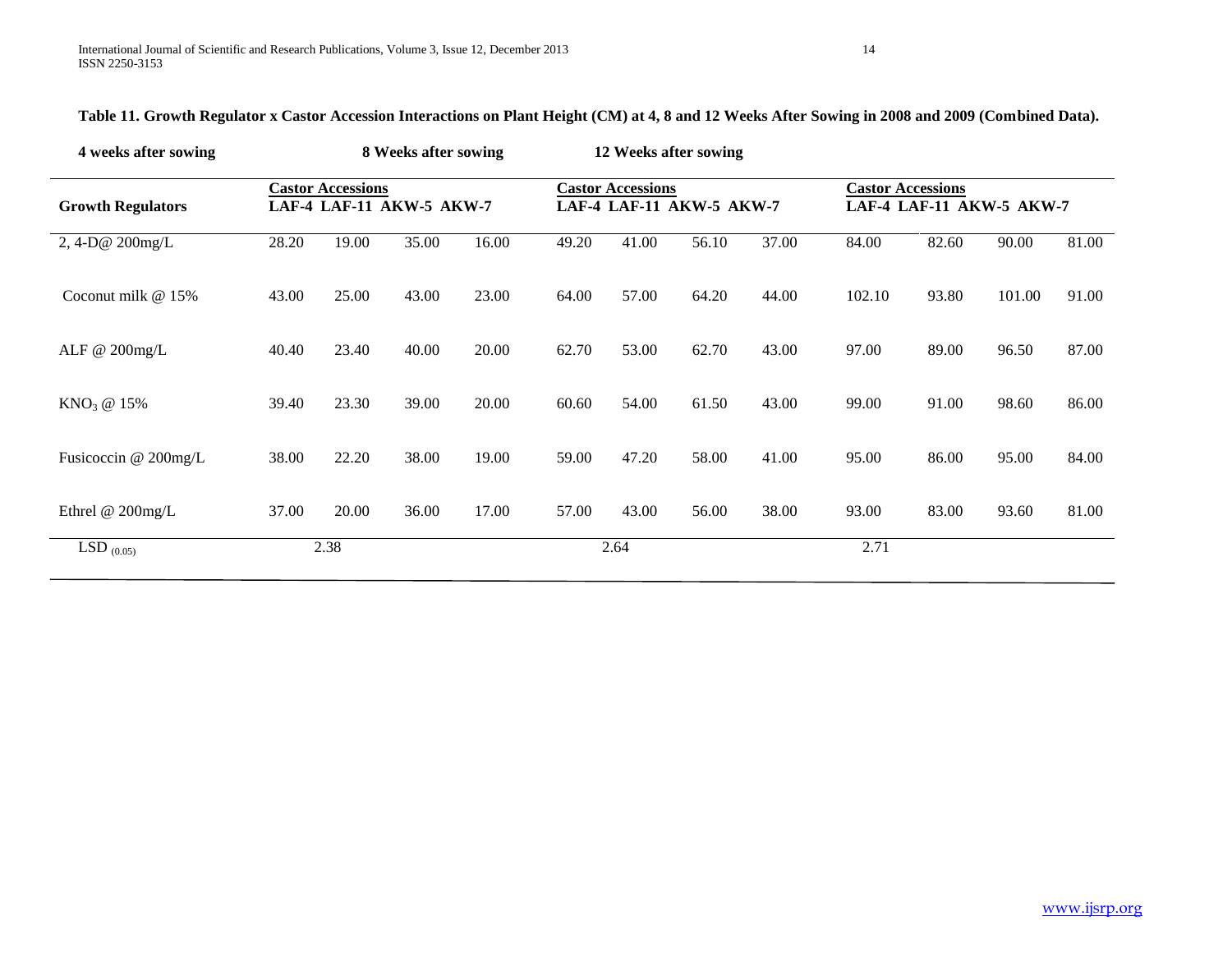| 4 weeks after sowing             |       |                          | 8 Weeks after sowing     |       |       |                          | 12 Weeks after sowing    |       |        |                          |                          |       |
|----------------------------------|-------|--------------------------|--------------------------|-------|-------|--------------------------|--------------------------|-------|--------|--------------------------|--------------------------|-------|
| <b>Growth Regulators</b>         |       | <b>Castor Accessions</b> | LAF-4 LAF-11 AKW-5 AKW-7 |       |       | <b>Castor Accessions</b> | LAF-4 LAF-11 AKW-5 AKW-7 |       |        | <b>Castor Accessions</b> | LAF-4 LAF-11 AKW-5 AKW-7 |       |
| 2,4-D@ 200mg/L                   | 28.20 | 19.00                    | 35.00                    | 16.00 | 49.20 | 41.00                    | 56.10                    | 37.00 | 84.00  | 82.60                    | 90.00                    | 81.00 |
| Coconut milk @ 15%               | 43.00 | 25.00                    | 43.00                    | 23.00 | 64.00 | 57.00                    | 64.20                    | 44.00 | 102.10 | 93.80                    | 101.00                   | 91.00 |
| ALF @ 200mg/L                    | 40.40 | 23.40                    | 40.00                    | 20.00 | 62.70 | 53.00                    | 62.70                    | 43.00 | 97.00  | 89.00                    | 96.50                    | 87.00 |
| $KNO3$ @ 15%                     | 39.40 | 23.30                    | 39.00                    | 20.00 | 60.60 | 54.00                    | 61.50                    | 43.00 | 99.00  | 91.00                    | 98.60                    | 86.00 |
| Fusicoccin @ 200mg/L             | 38.00 | 22.20                    | 38.00                    | 19.00 | 59.00 | 47.20                    | 58.00                    | 41.00 | 95.00  | 86.00                    | 95.00                    | 84.00 |
| Ethrel @ 200mg/L                 | 37.00 | 20.00                    | 36.00                    | 17.00 | 57.00 | 43.00                    | 56.00                    | 38.00 | 93.00  | 83.00                    | 93.60                    | 81.00 |
| $\overline{\text{LSD}}_{(0.05)}$ |       | 2.38                     |                          |       |       | 2.64                     |                          |       | 2.71   |                          |                          |       |

**Table 11. Growth Regulator x Castor Accession Interactions on Plant Height (CM) at 4, 8 and 12 Weeks After Sowing in 2008 and 2009 (Combined Data).**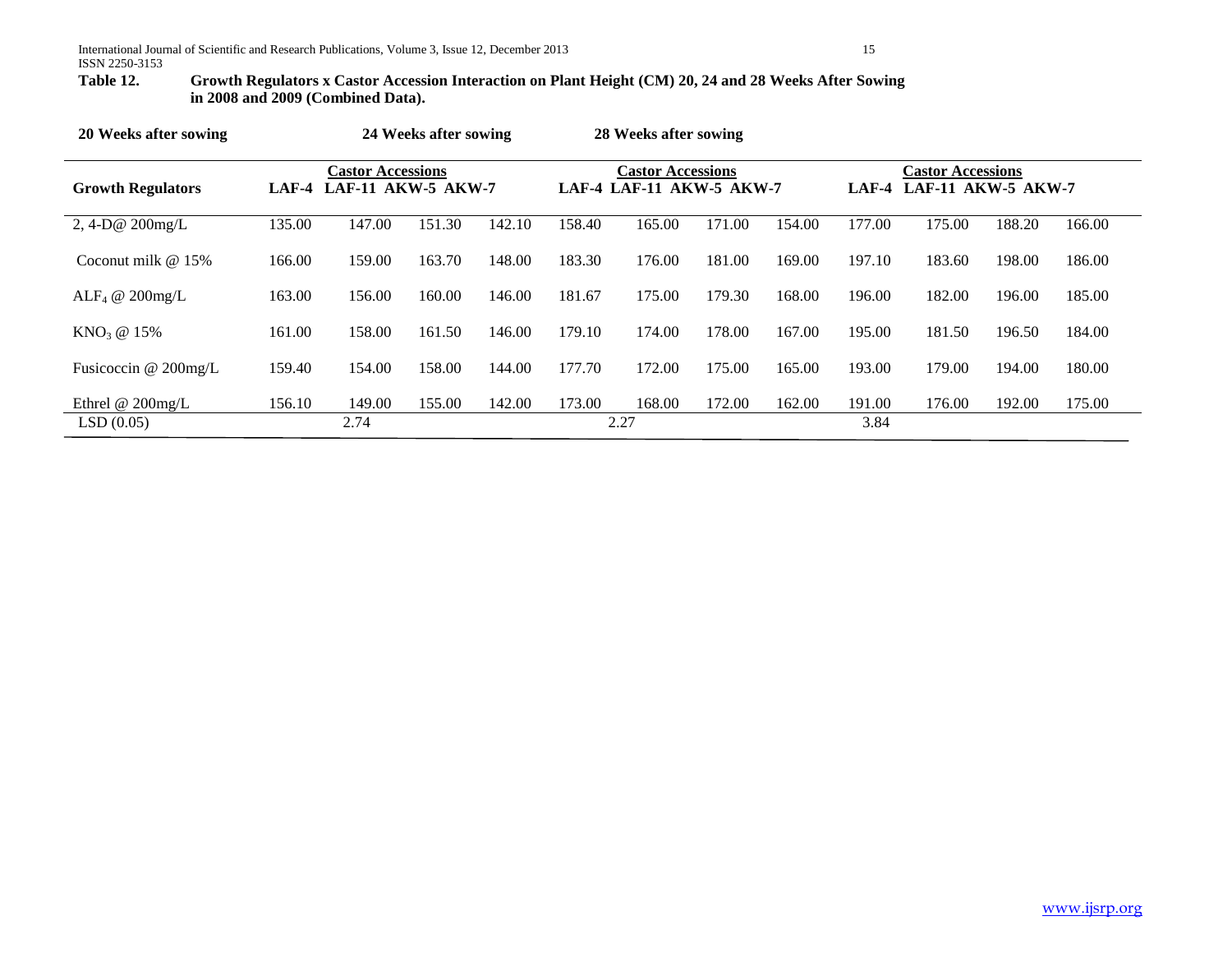# Growth Regulators x Castor Accession Interaction on Plant Height (CM) 20, 24 and 28 Weeks After Sowing **in 2008 and 2009 (Combined Data).**

| 20 Weeks after sowing           | 24 Weeks after sowing |                                                      |        |        |        | 28 Weeks after sowing                                |        |        |                |                                                       |        |        |
|---------------------------------|-----------------------|------------------------------------------------------|--------|--------|--------|------------------------------------------------------|--------|--------|----------------|-------------------------------------------------------|--------|--------|
| <b>Growth Regulators</b>        |                       | <b>Castor Accessions</b><br>LAF-4 LAF-11 AKW-5 AKW-7 |        |        |        | <b>Castor Accessions</b><br>LAF-4 LAF-11 AKW-5 AKW-7 |        |        | LAF-4          | <b>Castor Accessions</b><br><b>LAF-11 AKW-5 AKW-7</b> |        |        |
| 2, 4-D $@$ 200mg/L              | 135.00                | 147.00                                               | 151.30 | 142.10 | 158.40 | 165.00                                               | 171.00 | 154.00 | 177.00         | 175.00                                                | 188.20 | 166.00 |
| Coconut milk $@15\%$            | 166.00                | 159.00                                               | 163.70 | 148.00 | 183.30 | 176.00                                               | 181.00 | 169.00 | 197.10         | 183.60                                                | 198.00 | 186.00 |
| ALF <sub>4</sub> @ $200$ mg/L   | 163.00                | 156.00                                               | 160.00 | 146.00 | 181.67 | 175.00                                               | 179.30 | 168.00 | 196.00         | 182.00                                                | 196.00 | 185.00 |
| KNO <sub>3</sub> @ 15%          | 161.00                | 158.00                                               | 161.50 | 146.00 | 179.10 | 174.00                                               | 178.00 | 167.00 | 195.00         | 181.50                                                | 196.50 | 184.00 |
| Fusicoccin $@200$ mg/L          | 159.40                | 154.00                                               | 158.00 | 144.00 | 177.70 | 172.00                                               | 175.00 | 165.00 | 193.00         | 179.00                                                | 194.00 | 180.00 |
| Ethrel $@$ 200mg/L<br>LSD(0.05) | 156.10                | 149.00<br>2.74                                       | 155.00 | 142.00 | 173.00 | 168.00<br>2.27                                       | 172.00 | 162.00 | 191.00<br>3.84 | 176.00                                                | 192.00 | 175.00 |